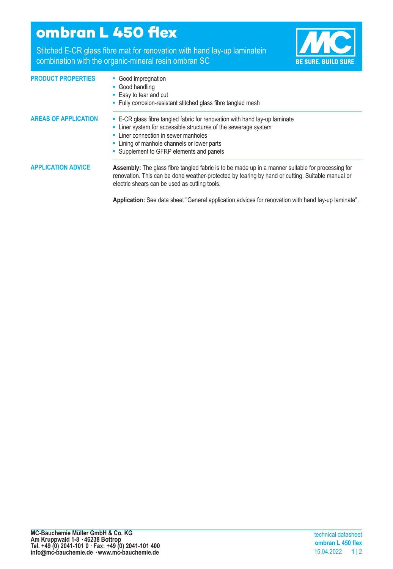## **ombran L 450 flex**

Stitched E-CR glass fibre mat for renovation with hand lay-up laminatein combination with the organic-mineral resin ombran SC



| <b>PRODUCT PROPERTIES</b>   | • Good impregnation<br>• Good handling<br>• Easy to tear and cut<br>• Fully corrosion-resistant stitched glass fibre tangled mesh                                                                                                                                                |
|-----------------------------|----------------------------------------------------------------------------------------------------------------------------------------------------------------------------------------------------------------------------------------------------------------------------------|
| <b>AREAS OF APPLICATION</b> | • E-CR glass fibre tangled fabric for renovation with hand lay-up laminate<br>• Liner system for accessible structures of the sewerage system<br>• Liner connection in sewer manholes<br>• Lining of manhole channels or lower parts<br>• Supplement to GFRP elements and panels |
| <b>APPLICATION ADVICE</b>   | Assembly: The glass fibre tangled fabric is to be made up in a manner suitable for processing for<br>renovation. This can be done weather-protected by tearing by hand or cutting. Suitable manual or<br>electric shears can be used as cutting tools.                           |
|                             | Application: See data sheet "General application advices for renovation with hand lay-up laminate".                                                                                                                                                                              |